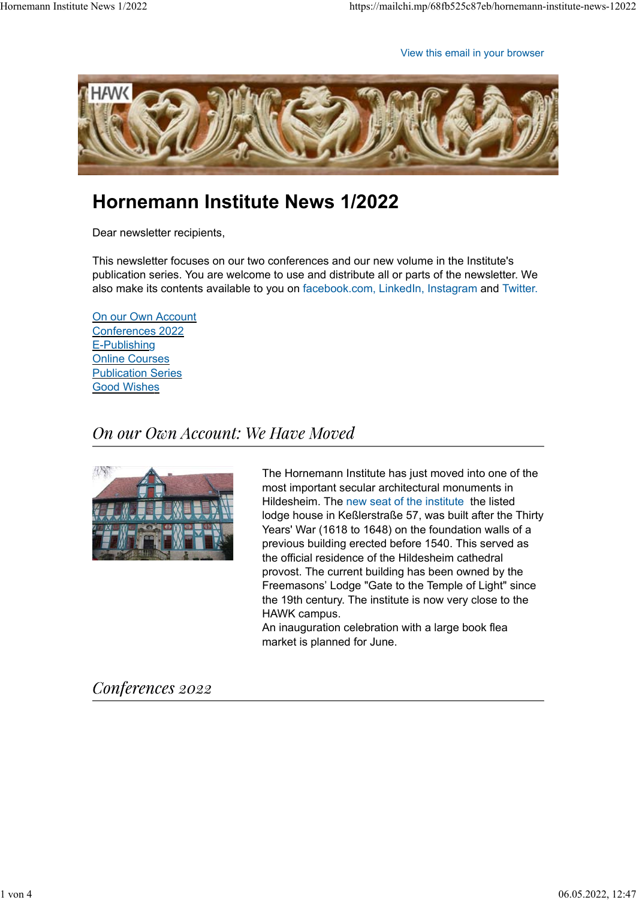View this email in your browser



# **Hornemann Institute News 1/2022**

Dear newsletter recipients,

This newsletter focuses on our two conferences and our new volume in the Institute's publication series. You are welcome to use and distribute all or parts of the newsletter. We also make its contents available to you on facebook.com, LinkedIn, Instagram and Twitter.

On our Own Account Conferences 2022 E-Publishing Online Courses Publication Series Good Wishes

## On our Own Account: We Have Moved



The Hornemann Institute has just moved into one of the most important secular architectural monuments in Hildesheim. The new seat of the institute the listed lodge house in Keßlerstraße 57, was built after the Thirty Years' War (1618 to 1648) on the foundation walls of a previous building erected before 1540. This served as the official residence of the Hildesheim cathedral provost. The current building has been owned by the Freemasons' Lodge "Gate to the Temple of Light" since the 19th century. The institute is now very close to the HAWK campus.

An inauguration celebration with a large book flea market is planned for June.

## Conferences 2022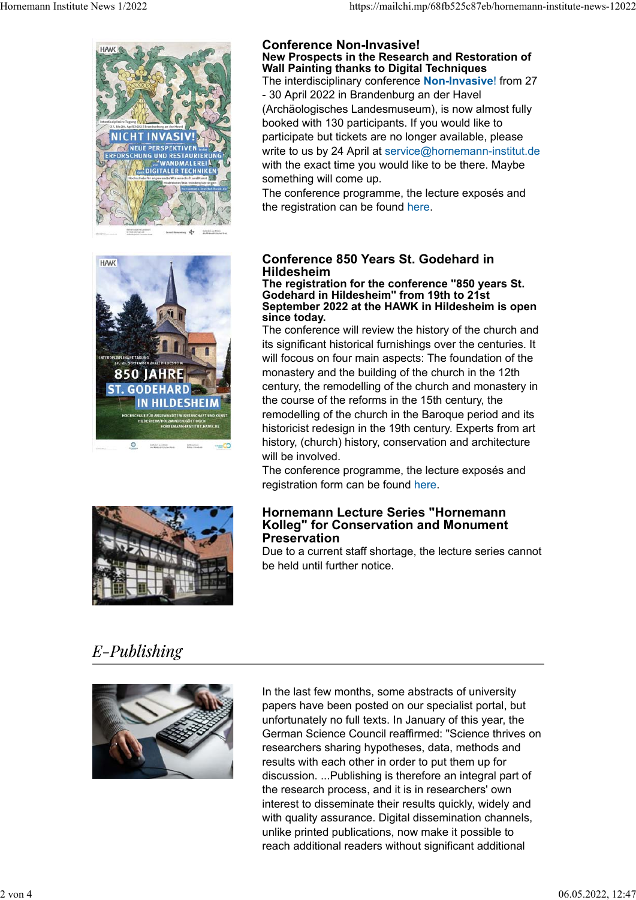

#### **Conference Non-Invasive! New Prospects in the Research and Restoration of Wall Painting thanks to Digital Techniques**

The interdisciplinary conference **Non-Invasive**! from 27 - 30 April 2022 in Brandenburg an der Havel (Archäologisches Landesmuseum), is now almost fully booked with 130 participants. If you would like to participate but tickets are no longer available, please write to us by 24 April at service@hornemann-institut.de with the exact time you would like to be there. Maybe something will come up.

The conference programme, the lecture exposés and the registration can be found here.





### **Conference 850 Years St. Godehard in Hildesheim**

#### **The registration for the conference "850 years St. Godehard in Hildesheim" from 19th to 21st September 2022 at the HAWK in Hildesheim is open since today.**

The conference will review the history of the church and its significant historical furnishings over the centuries. It will focous on four main aspects: The foundation of the monastery and the building of the church in the 12th century, the remodelling of the church and monastery in the course of the reforms in the 15th century, the remodelling of the church in the Baroque period and its historicist redesign in the 19th century. Experts from art history, (church) history, conservation and architecture will be involved.

The conference programme, the lecture exposés and registration form can be found here.

### **Hornemann Lecture Series "Hornemann Kolleg" for Conservation and Monument Preservation**

Due to a current staff shortage, the lecture series cannot be held until further notice.

# E-Publishing



In the last few months, some abstracts of university papers have been posted on our specialist portal, but unfortunately no full texts. In January of this year, the German Science Council reaffirmed: "Science thrives on researchers sharing hypotheses, data, methods and results with each other in order to put them up for discussion. ...Publishing is therefore an integral part of the research process, and it is in researchers' own interest to disseminate their results quickly, widely and with quality assurance. Digital dissemination channels, unlike printed publications, now make it possible to reach additional readers without significant additional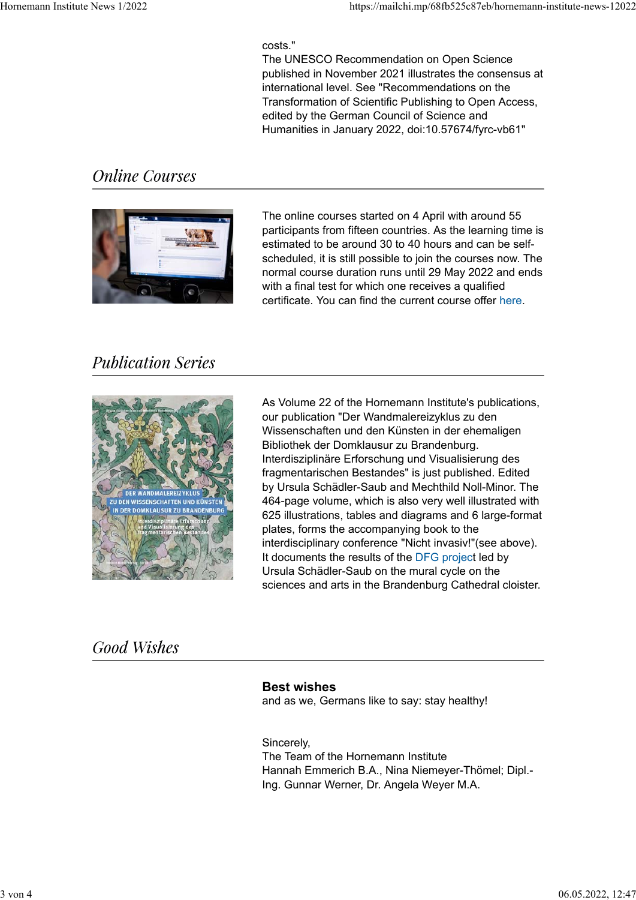### costs."

The UNESCO Recommendation on Open Science published in November 2021 illustrates the consensus at international level. See "Recommendations on the Transformation of Scientific Publishing to Open Access, edited by the German Council of Science and Humanities in January 2022, doi:10.57674/fyrc-vb61"

## **Online Courses**



The online courses started on 4 April with around 55 participants from fifteen countries. As the learning time is estimated to be around 30 to 40 hours and can be selfscheduled, it is still possible to join the courses now. The normal course duration runs until 29 May 2022 and ends with a final test for which one receives a qualified certificate. You can find the current course offer here.

## **Publication Series**



As Volume 22 of the Hornemann Institute's publications, our publication "Der Wandmalereizyklus zu den Wissenschaften und den Künsten in der ehemaligen Bibliothek der Domklausur zu Brandenburg. Interdisziplinäre Erforschung und Visualisierung des fragmentarischen Bestandes" is just published. Edited by Ursula Schädler-Saub and Mechthild Noll-Minor. The 464-page volume, which is also very well illustrated with 625 illustrations, tables and diagrams and 6 large-format plates, forms the accompanying book to the interdisciplinary conference "Nicht invasiv!"(see above). It documents the results of the DFG project led by Ursula Schädler-Saub on the mural cycle on the sciences and arts in the Brandenburg Cathedral cloister.

## **Good Wishes**

### **Best wishes**

and as we, Germans like to say: stay healthy!

Sincerely, The Team of the Hornemann Institute Hannah Emmerich B.A., Nina Niemeyer-Thömel; Dipl.- Ing. Gunnar Werner, Dr. Angela Weyer M.A.